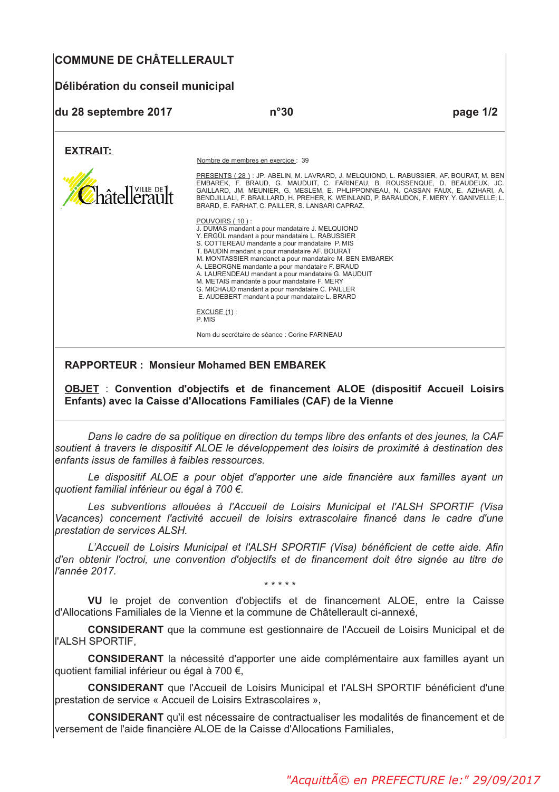# **COMMUNE DE CHÂTELLERAULT**

# Délibération du conseil municipal

| du 28 septembre 2017 | n°30                                                                                                                                                                                                                                                                                                                                                                                                                                                                                                                                              | page 1/2 |
|----------------------|---------------------------------------------------------------------------------------------------------------------------------------------------------------------------------------------------------------------------------------------------------------------------------------------------------------------------------------------------------------------------------------------------------------------------------------------------------------------------------------------------------------------------------------------------|----------|
| <b>EXTRAIT:</b>      |                                                                                                                                                                                                                                                                                                                                                                                                                                                                                                                                                   |          |
|                      | Nombre de membres en exercice : 39                                                                                                                                                                                                                                                                                                                                                                                                                                                                                                                |          |
| hâtellerault         | PRESENTS (28): JP. ABELIN. M. LAVRARD. J. MELQUIOND. L. RABUSSIER. AF. BOURAT. M. BEN<br>EMBAREK, F. BRAUD, G. MAUDUIT, C. FARINEAU, B. ROUSSENQUE, D. BEAUDEUX, JC.<br>GAILLARD, JM. MEUNIER, G. MESLEM, E. PHLIPPONNEAU, N. CASSAN FAUX, E. AZIHARI, A.<br>BENDJILLALI, F. BRAILLARD, H. PREHER, K. WEINLAND, P. BARAUDON, F. MERY, Y. GANIVELLE; L.<br>BRARD, E. FARHAT, C. PAILLER, S. LANSARI CAPRAZ.                                                                                                                                        |          |
|                      | POUVOIRS (10):<br>J. DUMAS mandant a pour mandataire J. MELQUIOND<br>Y. ERGÜL mandant a pour mandataire L. RABUSSIER<br>S. COTTEREAU mandante a pour mandataire P. MIS<br>T. BAUDIN mandant a pour mandataire AF. BOURAT<br>M. MONTASSIER mandanet a pour mandataire M. BEN EMBAREK<br>A. LEBORGNE mandante a pour mandataire F. BRAUD<br>A. LAURENDEAU mandant a pour mandataire G. MAUDUIT<br>M. METAIS mandante a pour mandataire F. MERY<br>G. MICHAUD mandant a pour mandataire C. PAILLER<br>E. AUDEBERT mandant a pour mandataire L. BRARD |          |
|                      | $EXCUSE(1)$ :<br>P. MIS                                                                                                                                                                                                                                                                                                                                                                                                                                                                                                                           |          |
|                      | Nom du secrétaire de séance : Corine FARINEAU                                                                                                                                                                                                                                                                                                                                                                                                                                                                                                     |          |

#### **RAPPORTEUR: Monsieur Mohamed BEN EMBAREK**

OBJET : Convention d'objectifs et de financement ALOE (dispositif Accueil Loisirs Enfants) avec la Caisse d'Allocations Familiales (CAF) de la Vienne

Dans le cadre de sa politique en direction du temps libre des enfants et des jeunes, la CAF soutient à travers le dispositif ALOE le développement des loisirs de proximité à destination des enfants issus de familles à faibles ressources

Le dispositif ALOE a pour objet d'apporter une aide financière aux familles ayant un quotient familial inférieur ou égal à 700 €.

Les subventions allouées à l'Accueil de Loisirs Municipal et l'ALSH SPORTIF (Visa Vacances) concernent l'activité accueil de loisirs extrascolaire financé dans le cadre d'une prestation de services ALSH.

L'Accueil de Loisirs Municipal et l'ALSH SPORTIF (Visa) bénéficient de cette aide. Afin d'en obtenir l'octroi, une convention d'obiectifs et de financement doit être signée au titre de l'année 2017.

VU le projet de convention d'objectifs et de financement ALOE, entre la Caisse d'Allocations Familiales de la Vienne et la commune de Châtellerault ci-annexé,

**CONSIDERANT** que la commune est gestionnaire de l'Accueil de Loisirs Municipal et de **I'ALSH SPORTIF,** 

**CONSIDERANT** la nécessité d'apporter une aide complémentaire aux familles ayant un quotient familial inférieur ou égal à 700 €.

**CONSIDERANT** que l'Accueil de Loisirs Municipal et l'ALSH SPORTIF bénéficient d'une prestation de service « Accueil de Loisirs Extrascolaires »,

**CONSIDERANT** qu'il est nécessaire de contractualiser les modalités de financement et de versement de l'aide financière ALOE de la Caisse d'Allocations Familiales,